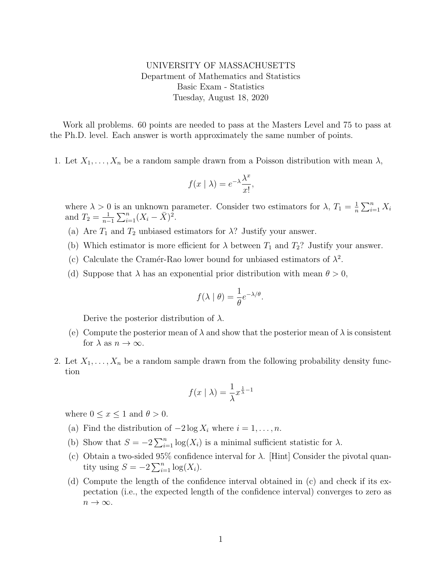## UNIVERSITY OF MASSACHUSETTS Department of Mathematics and Statistics Basic Exam - Statistics Tuesday, August 18, 2020

Work all problems. 60 points are needed to pass at the Masters Level and 75 to pass at the Ph.D. level. Each answer is worth approximately the same number of points.

1. Let  $X_1, \ldots, X_n$  be a random sample drawn from a Poisson distribution with mean  $\lambda$ ,

$$
f(x \mid \lambda) = e^{-\lambda} \frac{\lambda^x}{x!},
$$

where  $\lambda > 0$  is an unknown parameter. Consider two estimators for  $\lambda$ ,  $T_1 = \frac{1}{n}$  $\frac{1}{n} \sum_{i=1}^n X_i$ and  $T_2 = \frac{1}{n-1}$  $\frac{1}{n-1}\sum_{i=1}^n (X_i - \bar{X})^2.$ 

- (a) Are  $T_1$  and  $T_2$  unbiased estimators for  $\lambda$ ? Justify your answer.
- (b) Which estimator is more efficient for  $\lambda$  between  $T_1$  and  $T_2$ ? Justify your answer.
- (c) Calculate the Cramér-Rao lower bound for unbiased estimators of  $\lambda^2$ .
- (d) Suppose that  $\lambda$  has an exponential prior distribution with mean  $\theta > 0$ ,

$$
f(\lambda \mid \theta) = \frac{1}{\theta} e^{-\lambda/\theta}.
$$

Derive the posterior distribution of  $\lambda$ .

- (e) Compute the posterior mean of  $\lambda$  and show that the posterior mean of  $\lambda$  is consistent for  $\lambda$  as  $n \to \infty$ .
- 2. Let  $X_1, \ldots, X_n$  be a random sample drawn from the following probability density function

$$
f(x \mid \lambda) = \frac{1}{\lambda} x^{\frac{1}{\lambda} - 1}
$$

where  $0 \leq x \leq 1$  and  $\theta > 0$ .

- (a) Find the distribution of  $-2 \log X_i$  where  $i = 1, \ldots, n$ .
- (b) Show that  $S = -2\sum_{i=1}^{n} \log(X_i)$  is a minimal sufficient statistic for  $\lambda$ .
- (c) Obtain a two-sided  $95\%$  confidence interval for  $\lambda$ . [Hint] Consider the pivotal quantity using  $S = -2\sum_{i=1}^{n} \log(X_i)$ .
- (d) Compute the length of the confidence interval obtained in (c) and check if its expectation (i.e., the expected length of the confidence interval) converges to zero as  $n \to \infty$ .